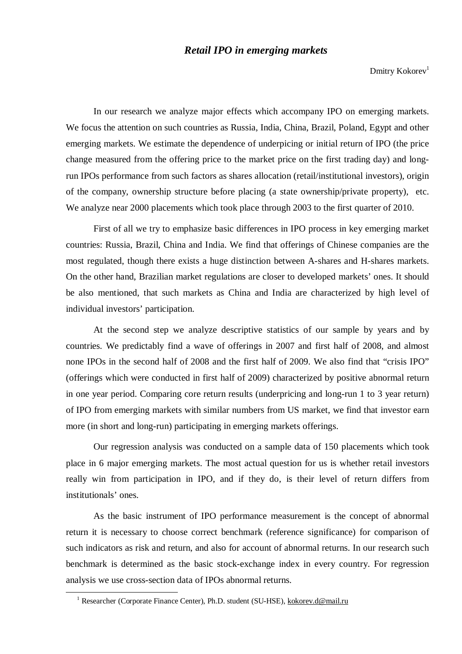## *Retail IPO in emerging markets*

Dmitry Kokorev $1$ 

In our research we analyze major effects which accompany IPO on emerging markets. We focus the attention on such countries as Russia, India, China, Brazil, Poland, Egypt and other emerging markets. We estimate the dependence of underpicing or initial return of IPO (the price change measured from the offering price to the market price on the first trading day) and longrun IPOs performance from such factors as shares allocation (retail/institutional investors), origin of the company, ownership structure before placing (a state ownership/private property), etc. We analyze near 2000 placements which took place through 2003 to the first quarter of 2010.

First of all we try to emphasize basic differences in IPO process in key emerging market countries: Russia, Brazil, China and India. We find that offerings of Chinese companies are the most regulated, though there exists a huge distinction between A-shares and H-shares markets. On the other hand, Brazilian market regulations are closer to developed markets' ones. It should be also mentioned, that such markets as China and India are characterized by high level of individual investors' participation.

At the second step we analyze descriptive statistics of our sample by years and by countries. We predictably find a wave of offerings in 2007 and first half of 2008, and almost none IPOs in the second half of 2008 and the first half of 2009. We also find that "crisis IPO" (offerings which were conducted in first half of 2009) characterized by positive abnormal return in one year period. Comparing core return results (underpricing and long-run 1 to 3 year return) of IPO from emerging markets with similar numbers from US market, we find that investor earn more (in short and long-run) participating in emerging markets offerings.

Our regression analysis was conducted on a sample data of 150 placements which took place in 6 major emerging markets. The most actual question for us is whether retail investors really win from participation in IPO, and if they do, is their level of return differs from institutionals' ones.

As the basic instrument of IPO performance measurement is the concept of abnormal return it is necessary to choose correct benchmark (reference significance) for comparison of such indicators as risk and return, and also for account of abnormal returns. In our research such benchmark is determined as the basic stock-exchange index in every country. For regression analysis we use cross-section data of IPOs abnormal returns.

l

<sup>&</sup>lt;sup>1</sup> Researcher (Corporate Finance Center), Ph.D. student (SU-HSE), [kokorev.d@mail.ru](mailto:kokorev.d@mail.ru)